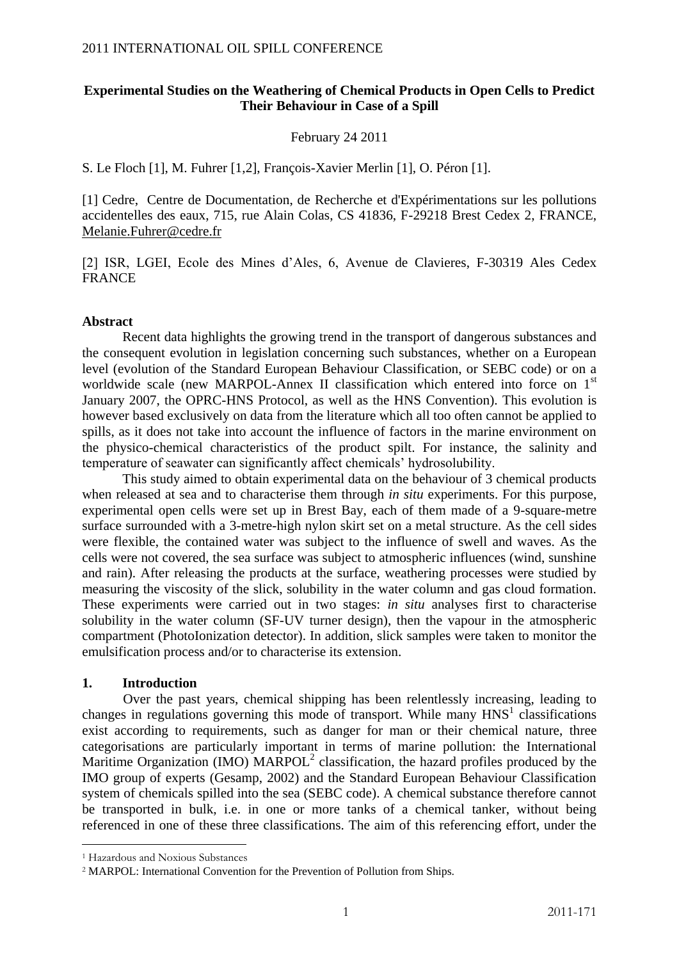# **Experimental Studies on the Weathering of Chemical Products in Open Cells to Predict Their Behaviour in Case of a Spill**

#### February 24 2011

S. Le Floch [1], M. Fuhrer [1,2], François-Xavier Merlin [1], O. Péron [1].

[1] Cedre, Centre de Documentation, de Recherche et d'Expérimentations sur les pollutions accidentelles des eaux, 715, rue Alain Colas, CS 41836, F-29218 Brest Cedex 2, FRANCE, [Melanie.Fuhrer@cedre.fr](mailto:Melanie.Fuhrer@cedre.fr)

[2] ISR, LGEI, Ecole des Mines d'Ales, 6, Avenue de Clavieres, F-30319 Ales Cedex FRANCE

#### **Abstract**

Recent data highlights the growing trend in the transport of dangerous substances and the consequent evolution in legislation concerning such substances, whether on a European level (evolution of the Standard European Behaviour Classification, or SEBC code) or on a worldwide scale (new MARPOL-Annex II classification which entered into force on 1<sup>st</sup> January 2007, the OPRC-HNS Protocol, as well as the HNS Convention). This evolution is however based exclusively on data from the literature which all too often cannot be applied to spills, as it does not take into account the influence of factors in the marine environment on the physico-chemical characteristics of the product spilt. For instance, the salinity and temperature of seawater can significantly affect chemicals' hydrosolubility.

This study aimed to obtain experimental data on the behaviour of 3 chemical products when released at sea and to characterise them through *in situ* experiments. For this purpose, experimental open cells were set up in Brest Bay, each of them made of a 9-square-metre surface surrounded with a 3-metre-high nylon skirt set on a metal structure. As the cell sides were flexible, the contained water was subject to the influence of swell and waves. As the cells were not covered, the sea surface was subject to atmospheric influences (wind, sunshine and rain). After releasing the products at the surface, weathering processes were studied by measuring the viscosity of the slick, solubility in the water column and gas cloud formation. These experiments were carried out in two stages: *in situ* analyses first to characterise solubility in the water column (SF-UV turner design), then the vapour in the atmospheric compartment (PhotoIonization detector). In addition, slick samples were taken to monitor the emulsification process and/or to characterise its extension.

#### **1. Introduction**

Over the past years, chemical shipping has been relentlessly increasing, leading to changes in regulations governing this mode of transport. While many  $HNS<sup>1</sup>$  classifications exist according to requirements, such as danger for man or their chemical nature, three categorisations are particularly important in terms of marine pollution: the International Maritime Organization (IMO)  $MARPOL<sup>2</sup>$  classification, the hazard profiles produced by the IMO group of experts (Gesamp, 2002) and the Standard European Behaviour Classification system of chemicals spilled into the sea (SEBC code). A chemical substance therefore cannot be transported in bulk, i.e. in one or more tanks of a chemical tanker, without being referenced in one of these three classifications. The aim of this referencing effort, under the

-

<sup>1</sup> Hazardous and Noxious Substances

<sup>2</sup> MARPOL: International Convention for the Prevention of Pollution from Ships.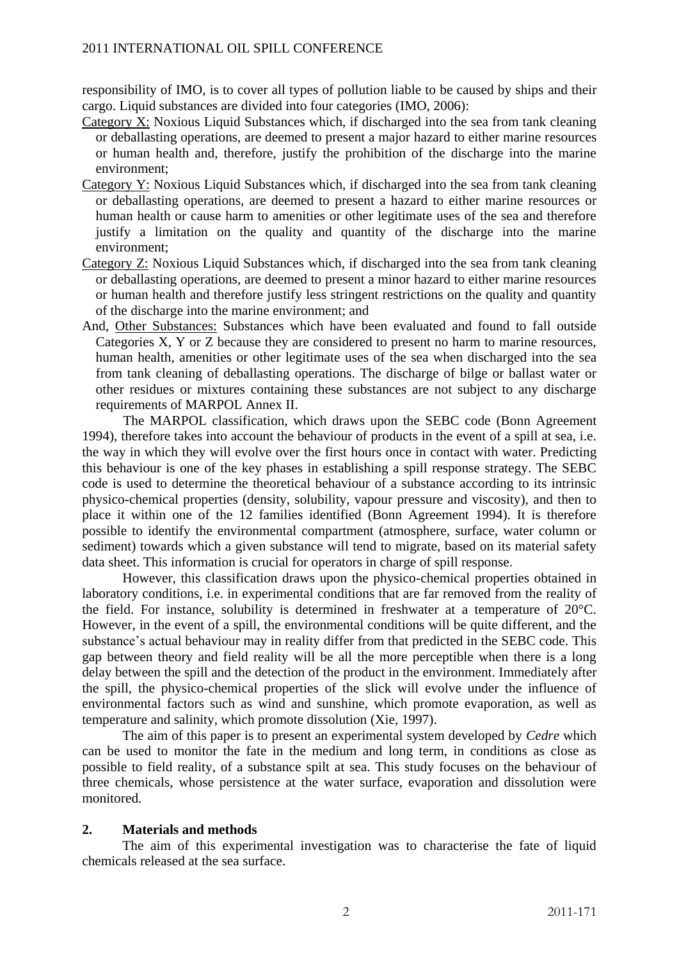responsibility of IMO, is to cover all types of pollution liable to be caused by ships and their cargo. Liquid substances are divided into four categories (IMO, 2006):

- Category X: Noxious Liquid Substances which, if discharged into the sea from tank cleaning or deballasting operations, are deemed to present a major hazard to either marine resources or human health and, therefore, justify the prohibition of the discharge into the marine environment;
- Category Y: Noxious Liquid Substances which, if discharged into the sea from tank cleaning or deballasting operations, are deemed to present a hazard to either marine resources or human health or cause harm to amenities or other legitimate uses of the sea and therefore justify a limitation on the quality and quantity of the discharge into the marine environment;
- Category Z: Noxious Liquid Substances which, if discharged into the sea from tank cleaning or deballasting operations, are deemed to present a minor hazard to either marine resources or human health and therefore justify less stringent restrictions on the quality and quantity of the discharge into the marine environment; and
- And, Other Substances: Substances which have been evaluated and found to fall outside Categories X, Y or Z because they are considered to present no harm to marine resources, human health, amenities or other legitimate uses of the sea when discharged into the sea from tank cleaning of deballasting operations. The discharge of bilge or ballast water or other residues or mixtures containing these substances are not subject to any discharge requirements of MARPOL Annex II.

The MARPOL classification, which draws upon the SEBC code (Bonn Agreement 1994), therefore takes into account the behaviour of products in the event of a spill at sea, i.e. the way in which they will evolve over the first hours once in contact with water. Predicting this behaviour is one of the key phases in establishing a spill response strategy. The SEBC code is used to determine the theoretical behaviour of a substance according to its intrinsic physico-chemical properties (density, solubility, vapour pressure and viscosity), and then to place it within one of the 12 families identified (Bonn Agreement 1994). It is therefore possible to identify the environmental compartment (atmosphere, surface, water column or sediment) towards which a given substance will tend to migrate, based on its material safety data sheet. This information is crucial for operators in charge of spill response.

However, this classification draws upon the physico-chemical properties obtained in laboratory conditions, i.e. in experimental conditions that are far removed from the reality of the field. For instance, solubility is determined in freshwater at a temperature of 20°C. However, in the event of a spill, the environmental conditions will be quite different, and the substance's actual behaviour may in reality differ from that predicted in the SEBC code. This gap between theory and field reality will be all the more perceptible when there is a long delay between the spill and the detection of the product in the environment. Immediately after the spill, the physico-chemical properties of the slick will evolve under the influence of environmental factors such as wind and sunshine, which promote evaporation, as well as temperature and salinity, which promote dissolution (Xie, 1997).

The aim of this paper is to present an experimental system developed by *Cedre* which can be used to monitor the fate in the medium and long term, in conditions as close as possible to field reality, of a substance spilt at sea. This study focuses on the behaviour of three chemicals, whose persistence at the water surface, evaporation and dissolution were monitored.

#### **2. Materials and methods**

The aim of this experimental investigation was to characterise the fate of liquid chemicals released at the sea surface.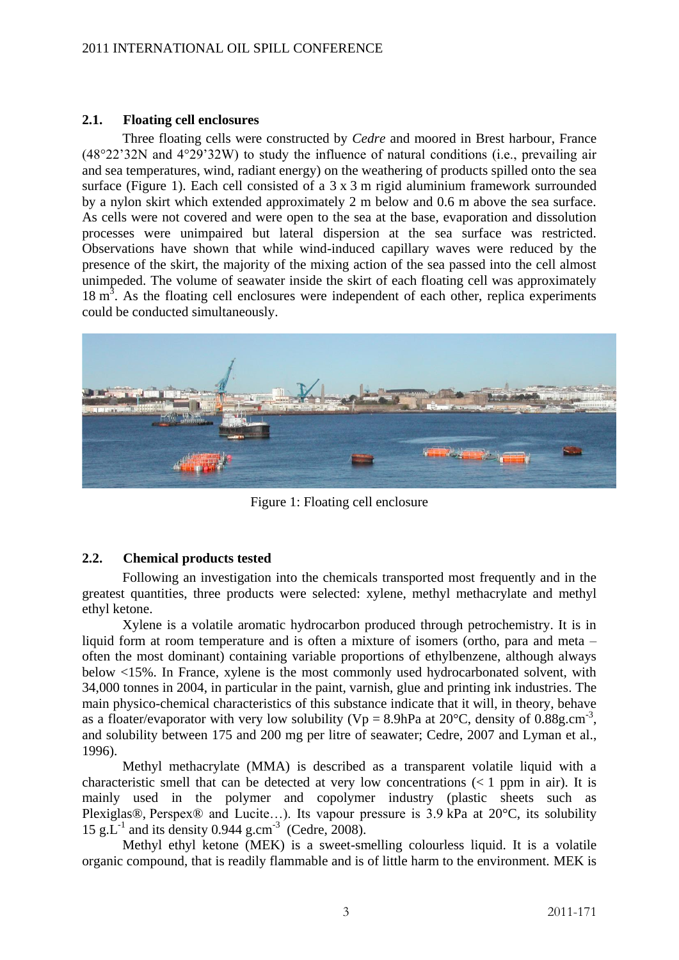#### **2.1. Floating cell enclosures**

Three floating cells were constructed by *Cedre* and moored in Brest harbour, France (48°22'32N and 4°29'32W) to study the influence of natural conditions (i.e., prevailing air and sea temperatures, wind, radiant energy) on the weathering of products spilled onto the sea surface (Figure 1). Each cell consisted of a 3 x 3 m rigid aluminium framework surrounded by a nylon skirt which extended approximately 2 m below and 0.6 m above the sea surface. As cells were not covered and were open to the sea at the base, evaporation and dissolution processes were unimpaired but lateral dispersion at the sea surface was restricted. Observations have shown that while wind-induced capillary waves were reduced by the presence of the skirt, the majority of the mixing action of the sea passed into the cell almost unimpeded. The volume of seawater inside the skirt of each floating cell was approximately 18 m<sup>3</sup>. As the floating cell enclosures were independent of each other, replica experiments could be conducted simultaneously.



Figure 1: Floating cell enclosure

# **2.2. Chemical products tested**

Following an investigation into the chemicals transported most frequently and in the greatest quantities, three products were selected: xylene, methyl methacrylate and methyl ethyl ketone.

Xylene is a volatile aromatic hydrocarbon produced through petrochemistry. It is in liquid form at room temperature and is often a mixture of isomers (ortho, para and meta – often the most dominant) containing variable proportions of ethylbenzene, although always below <15%. In France, xylene is the most commonly used hydrocarbonated solvent, with 34,000 tonnes in 2004, in particular in the paint, varnish, glue and printing ink industries. The main physico-chemical characteristics of this substance indicate that it will, in theory, behave as a floater/evaporator with very low solubility (Vp = 8.9hPa at 20 $^{\circ}$ C, density of 0.88g.cm<sup>-3</sup>, and solubility between 175 and 200 mg per litre of seawater; Cedre, 2007 and Lyman et al., 1996).

Methyl methacrylate (MMA) is described as a transparent volatile liquid with a characteristic smell that can be detected at very low concentrations  $(< 1$  ppm in air). It is mainly used in the polymer and copolymer industry (plastic sheets such as Plexiglas®, Perspex® and Lucite…). Its vapour pressure is 3.9 kPa at 20°C, its solubility 15 g.L<sup>-1</sup> and its density 0.944 g.cm<sup>-3</sup> (Cedre, 2008).

Methyl ethyl ketone (MEK) is a sweet-smelling colourless liquid. It is a volatile organic compound, that is readily flammable and is of little harm to the environment. MEK is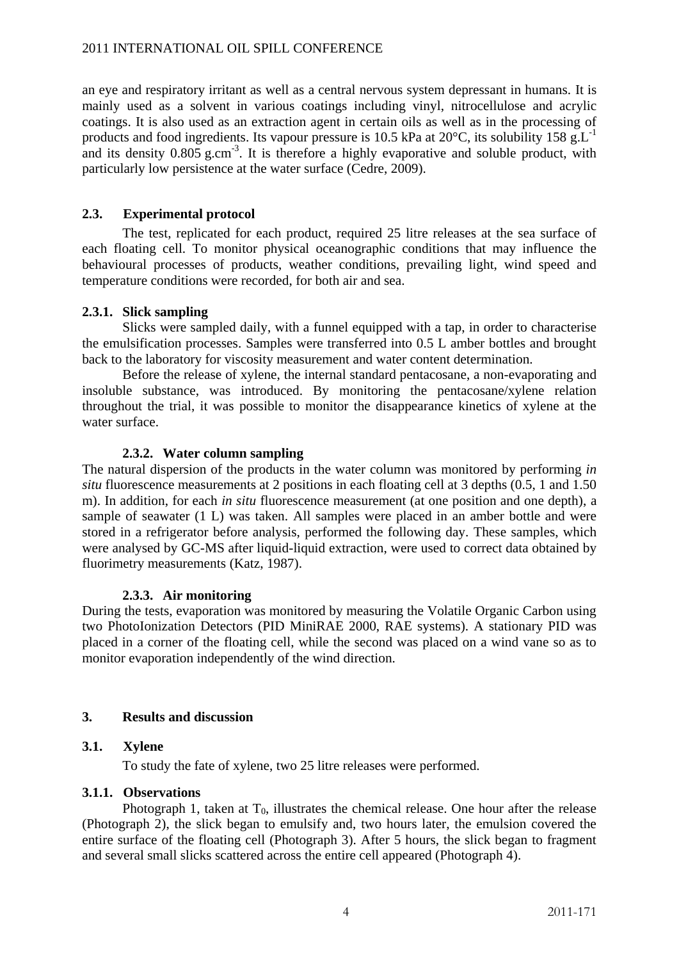an eye and respiratory irritant as well as a central nervous system depressant in humans. It is mainly used as a solvent in various coatings including vinyl, nitrocellulose and acrylic coatings. It is also used as an extraction agent in certain oils as well as in the processing of products and food ingredients. Its vapour pressure is 10.5 kPa at  $20^{\circ}$ C, its solubility 158 g.L<sup>-1</sup> and its density  $0.805$  g.cm<sup>-3</sup>. It is therefore a highly evaporative and soluble product, with particularly low persistence at the water surface (Cedre, 2009).

# **2.3. Experimental protocol**

The test, replicated for each product, required 25 litre releases at the sea surface of each floating cell. To monitor physical oceanographic conditions that may influence the behavioural processes of products, weather conditions, prevailing light, wind speed and temperature conditions were recorded, for both air and sea.

# **2.3.1. Slick sampling**

Slicks were sampled daily, with a funnel equipped with a tap, in order to characterise the emulsification processes. Samples were transferred into 0.5 L amber bottles and brought back to the laboratory for viscosity measurement and water content determination.

Before the release of xylene, the internal standard pentacosane, a non-evaporating and insoluble substance, was introduced. By monitoring the pentacosane/xylene relation throughout the trial, it was possible to monitor the disappearance kinetics of xylene at the water surface.

# **2.3.2. Water column sampling**

The natural dispersion of the products in the water column was monitored by performing *in situ* fluorescence measurements at 2 positions in each floating cell at 3 depths (0.5, 1 and 1.50 m). In addition, for each *in situ* fluorescence measurement (at one position and one depth), a sample of seawater (1 L) was taken. All samples were placed in an amber bottle and were stored in a refrigerator before analysis, performed the following day. These samples, which were analysed by GC-MS after liquid-liquid extraction, were used to correct data obtained by fluorimetry measurements (Katz, 1987).

#### **2.3.3. Air monitoring**

During the tests, evaporation was monitored by measuring the Volatile Organic Carbon using two PhotoIonization Detectors (PID MiniRAE 2000, RAE systems). A stationary PID was placed in a corner of the floating cell, while the second was placed on a wind vane so as to monitor evaporation independently of the wind direction.

#### **3. Results and discussion**

#### **3.1. Xylene**

To study the fate of xylene, two 25 litre releases were performed.

#### **3.1.1. Observations**

Photograph 1, taken at  $T_0$ , illustrates the chemical release. One hour after the release (Photograph 2), the slick began to emulsify and, two hours later, the emulsion covered the entire surface of the floating cell (Photograph 3). After 5 hours, the slick began to fragment and several small slicks scattered across the entire cell appeared (Photograph 4).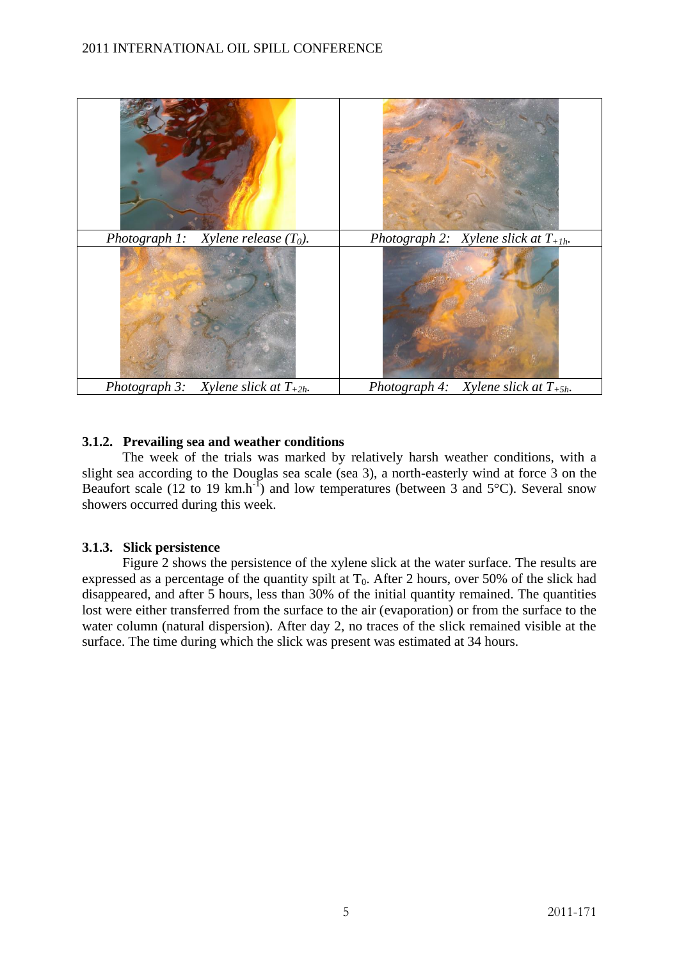

# **3.1.2. Prevailing sea and weather conditions**

The week of the trials was marked by relatively harsh weather conditions, with a slight sea according to the Douglas sea scale (sea 3), a north-easterly wind at force 3 on the Beaufort scale (12 to 19 km.h<sup>-I</sup>) and low temperatures (between 3 and 5°C). Several snow showers occurred during this week.

# **3.1.3. Slick persistence**

Figure 2 shows the persistence of the xylene slick at the water surface. The results are expressed as a percentage of the quantity spilt at  $T_0$ . After 2 hours, over 50% of the slick had disappeared, and after 5 hours, less than 30% of the initial quantity remained. The quantities lost were either transferred from the surface to the air (evaporation) or from the surface to the water column (natural dispersion). After day 2, no traces of the slick remained visible at the surface. The time during which the slick was present was estimated at 34 hours.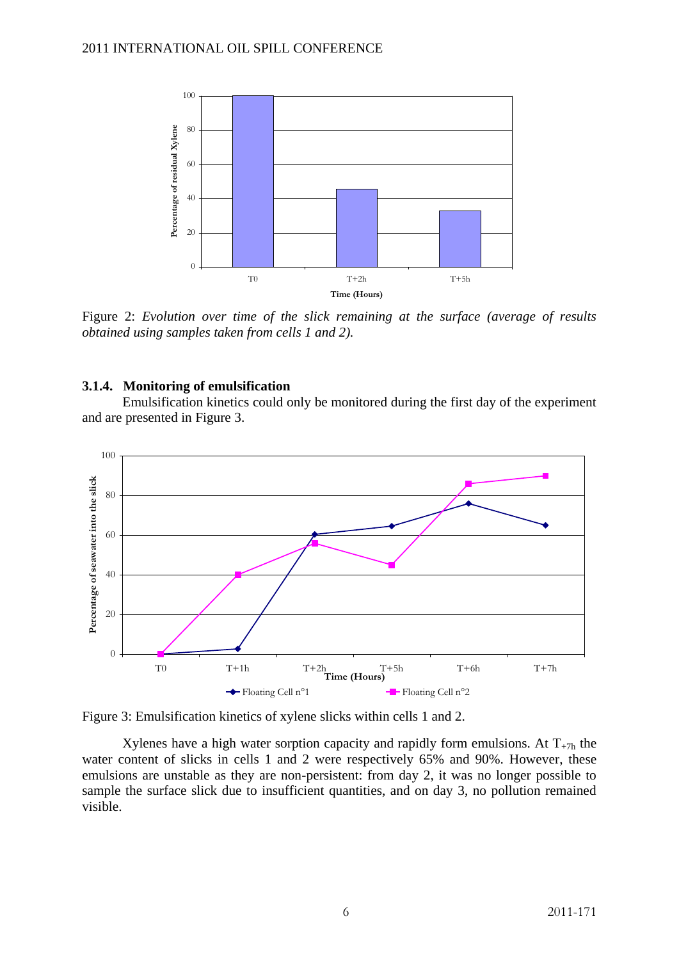

Figure 2: *Evolution over time of the slick remaining at the surface (average of results obtained using samples taken from cells 1 and 2).*

# **3.1.4. Monitoring of emulsification**

Emulsification kinetics could only be monitored during the first day of the experiment and are presented in Figure 3.



Figure 3: Emulsification kinetics of xylene slicks within cells 1 and 2.

Xylenes have a high water sorption capacity and rapidly form emulsions. At  $T_{+7h}$  the water content of slicks in cells 1 and 2 were respectively 65% and 90%. However, these emulsions are unstable as they are non-persistent: from day 2, it was no longer possible to sample the surface slick due to insufficient quantities, and on day 3, no pollution remained visible.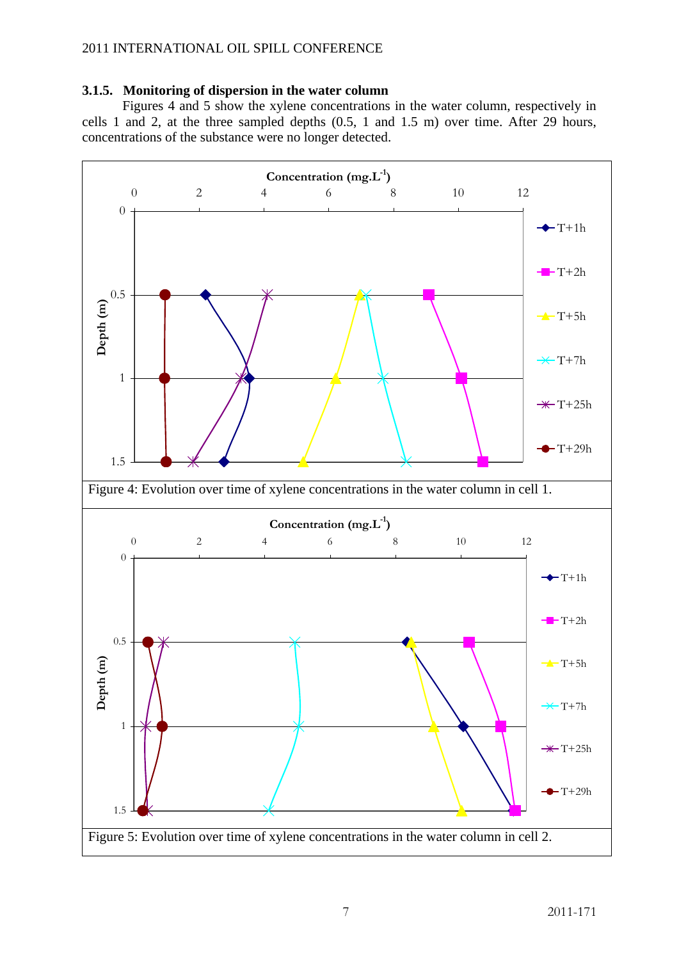### **3.1.5. Monitoring of dispersion in the water column**

Figures 4 and 5 show the xylene concentrations in the water column, respectively in cells 1 and 2, at the three sampled depths (0.5, 1 and 1.5 m) over time. After 29 hours, concentrations of the substance were no longer detected.

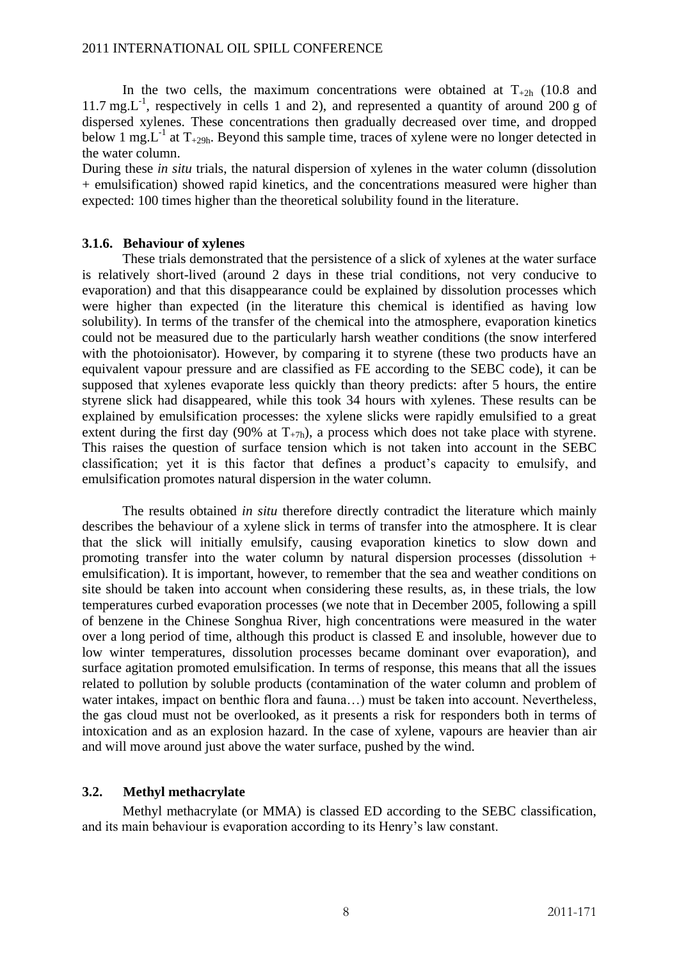In the two cells, the maximum concentrations were obtained at  $T_{+2h}$  (10.8 and 11.7 mg.L<sup>-1</sup>, respectively in cells 1 and 2), and represented a quantity of around 200 g of dispersed xylenes. These concentrations then gradually decreased over time, and dropped below 1 mg.L<sup>-1</sup> at T<sub>+29h</sub>. Beyond this sample time, traces of xylene were no longer detected in the water column.

During these *in situ* trials, the natural dispersion of xylenes in the water column (dissolution + emulsification) showed rapid kinetics, and the concentrations measured were higher than expected: 100 times higher than the theoretical solubility found in the literature.

# **3.1.6. Behaviour of xylenes**

These trials demonstrated that the persistence of a slick of xylenes at the water surface is relatively short-lived (around 2 days in these trial conditions, not very conducive to evaporation) and that this disappearance could be explained by dissolution processes which were higher than expected (in the literature this chemical is identified as having low solubility). In terms of the transfer of the chemical into the atmosphere, evaporation kinetics could not be measured due to the particularly harsh weather conditions (the snow interfered with the photoionisator). However, by comparing it to styrene (these two products have an equivalent vapour pressure and are classified as FE according to the SEBC code), it can be supposed that xylenes evaporate less quickly than theory predicts: after 5 hours, the entire styrene slick had disappeared, while this took 34 hours with xylenes. These results can be explained by emulsification processes: the xylene slicks were rapidly emulsified to a great extent during the first day (90% at  $T_{+7h}$ ), a process which does not take place with styrene. This raises the question of surface tension which is not taken into account in the SEBC classification; yet it is this factor that defines a product's capacity to emulsify, and emulsification promotes natural dispersion in the water column.

The results obtained *in situ* therefore directly contradict the literature which mainly describes the behaviour of a xylene slick in terms of transfer into the atmosphere. It is clear that the slick will initially emulsify, causing evaporation kinetics to slow down and promoting transfer into the water column by natural dispersion processes (dissolution  $+$ emulsification). It is important, however, to remember that the sea and weather conditions on site should be taken into account when considering these results, as, in these trials, the low temperatures curbed evaporation processes (we note that in December 2005, following a spill of benzene in the Chinese Songhua River, high concentrations were measured in the water over a long period of time, although this product is classed E and insoluble, however due to low winter temperatures, dissolution processes became dominant over evaporation), and surface agitation promoted emulsification. In terms of response, this means that all the issues related to pollution by soluble products (contamination of the water column and problem of water intakes, impact on benthic flora and fauna...) must be taken into account. Nevertheless, the gas cloud must not be overlooked, as it presents a risk for responders both in terms of intoxication and as an explosion hazard. In the case of xylene, vapours are heavier than air and will move around just above the water surface, pushed by the wind.

#### **3.2. Methyl methacrylate**

Methyl methacrylate (or MMA) is classed ED according to the SEBC classification, and its main behaviour is evaporation according to its Henry's law constant.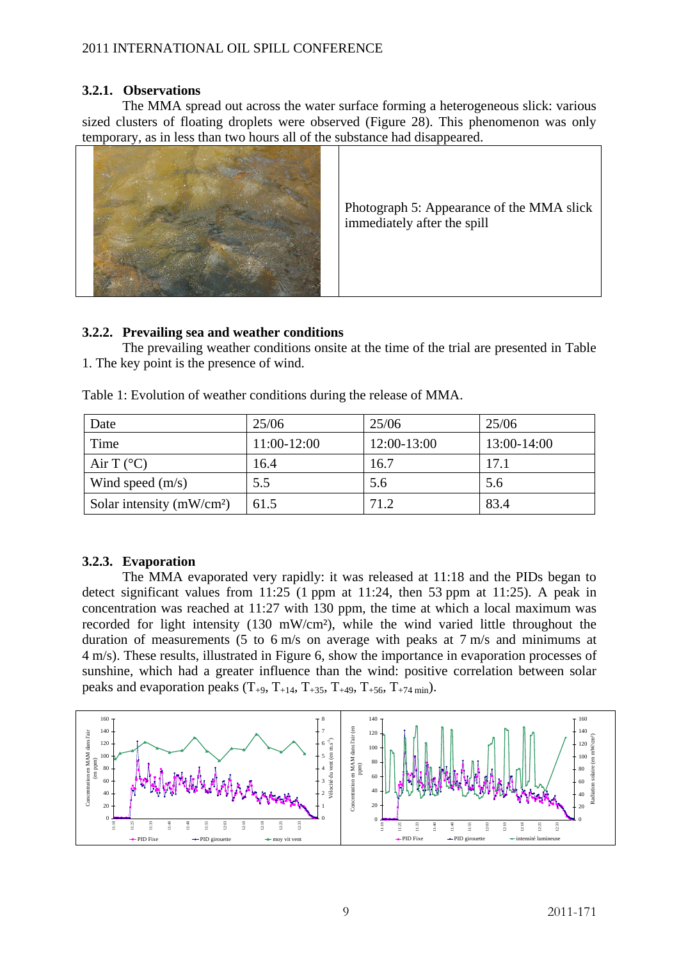# **3.2.1. Observations**

The MMA spread out across the water surface forming a heterogeneous slick: various sized clusters of floating droplets were observed (Figure 28). This phenomenon was only temporary, as in less than two hours all of the substance had disappeared.



Photograph 5: Appearance of the MMA slick immediately after the spill

# **3.2.2. Prevailing sea and weather conditions**

The prevailing weather conditions onsite at the time of the trial are presented in Table 1. The key point is the presence of wind.

| Date                       | 25/06       | 25/06       | 25/06       |
|----------------------------|-------------|-------------|-------------|
| Time                       | 11:00-12:00 | 12:00-13:00 | 13:00-14:00 |
| Air $T (^{\circ}C)$        | 16.4        | 16.7        | 17.1        |
| Wind speed $(m/s)$         | 5.5         | 5.6         | 5.6         |
| Solar intensity $(mW/cm2)$ | 61.5        | 71.2        | 83.4        |

Table 1: Evolution of weather conditions during the release of MMA.

# **3.2.3. Evaporation**

The MMA evaporated very rapidly: it was released at 11:18 and the PIDs began to detect significant values from 11:25 (1 ppm at 11:24, then 53 ppm at 11:25). A peak in concentration was reached at 11:27 with 130 ppm, the time at which a local maximum was recorded for light intensity (130 mW/cm²), while the wind varied little throughout the duration of measurements (5 to 6 m/s on average with peaks at 7 m/s and minimums at 4 m/s). These results, illustrated in Figure 6, show the importance in evaporation processes of sunshine, which had a greater influence than the wind: positive correlation between solar peaks and evaporation peaks  $(T_{+9}, T_{+14}, T_{+35}, T_{+49}, T_{+56}, T_{+74 \text{ min}}).$ 

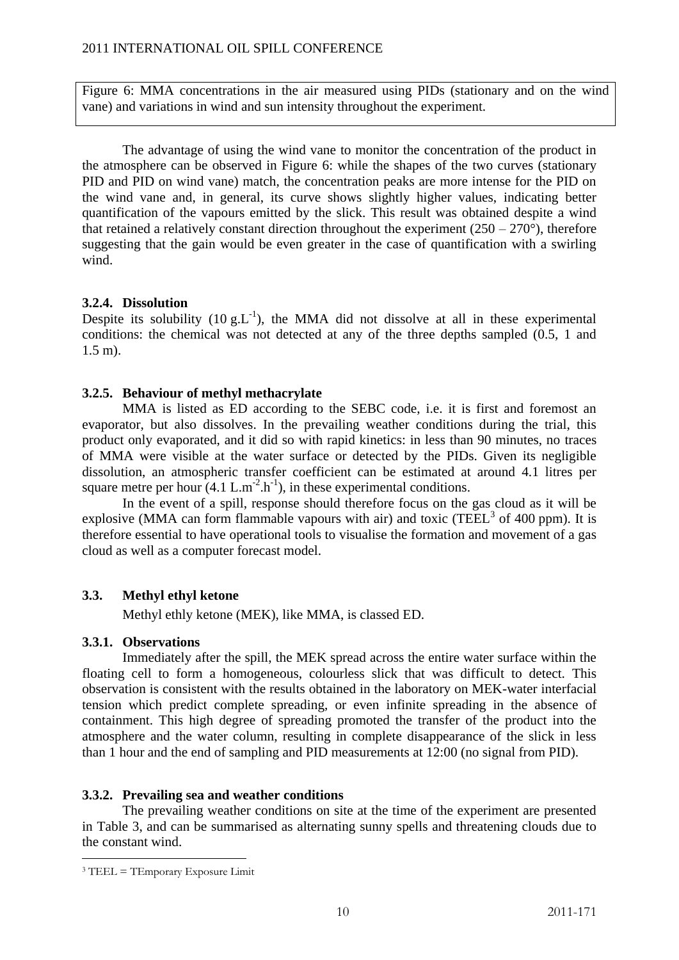Figure 6: MMA concentrations in the air measured using PIDs (stationary and on the wind vane) and variations in wind and sun intensity throughout the experiment.

The advantage of using the wind vane to monitor the concentration of the product in the atmosphere can be observed in Figure 6: while the shapes of the two curves (stationary PID and PID on wind vane) match, the concentration peaks are more intense for the PID on the wind vane and, in general, its curve shows slightly higher values, indicating better quantification of the vapours emitted by the slick. This result was obtained despite a wind that retained a relatively constant direction throughout the experiment  $(250 - 270^{\circ})$ , therefore suggesting that the gain would be even greater in the case of quantification with a swirling wind.

# **3.2.4. Dissolution**

Despite its solubility  $(10 g.L^{-1})$ , the MMA did not dissolve at all in these experimental conditions: the chemical was not detected at any of the three depths sampled (0.5, 1 and 1.5 m).

# **3.2.5. Behaviour of methyl methacrylate**

MMA is listed as ED according to the SEBC code, i.e. it is first and foremost an evaporator, but also dissolves. In the prevailing weather conditions during the trial, this product only evaporated, and it did so with rapid kinetics: in less than 90 minutes, no traces of MMA were visible at the water surface or detected by the PIDs. Given its negligible dissolution, an atmospheric transfer coefficient can be estimated at around 4.1 litres per square metre per hour  $(4.1 \text{ L.m}^{-2} \text{.} \text{h}^{-1})$ , in these experimental conditions.

In the event of a spill, response should therefore focus on the gas cloud as it will be explosive (MMA can form flammable vapours with air) and toxic (TEEL<sup>3</sup> of 400 ppm). It is therefore essential to have operational tools to visualise the formation and movement of a gas cloud as well as a computer forecast model.

# **3.3. Methyl ethyl ketone**

Methyl ethly ketone (MEK), like MMA, is classed ED.

# **3.3.1. Observations**

Immediately after the spill, the MEK spread across the entire water surface within the floating cell to form a homogeneous, colourless slick that was difficult to detect. This observation is consistent with the results obtained in the laboratory on MEK-water interfacial tension which predict complete spreading, or even infinite spreading in the absence of containment. This high degree of spreading promoted the transfer of the product into the atmosphere and the water column, resulting in complete disappearance of the slick in less than 1 hour and the end of sampling and PID measurements at 12:00 (no signal from PID).

# **3.3.2. Prevailing sea and weather conditions**

The prevailing weather conditions on site at the time of the experiment are presented in Table 3, and can be summarised as alternating sunny spells and threatening clouds due to the constant wind.

<sup>-</sup> $3$  TEEL = TEmporary Exposure Limit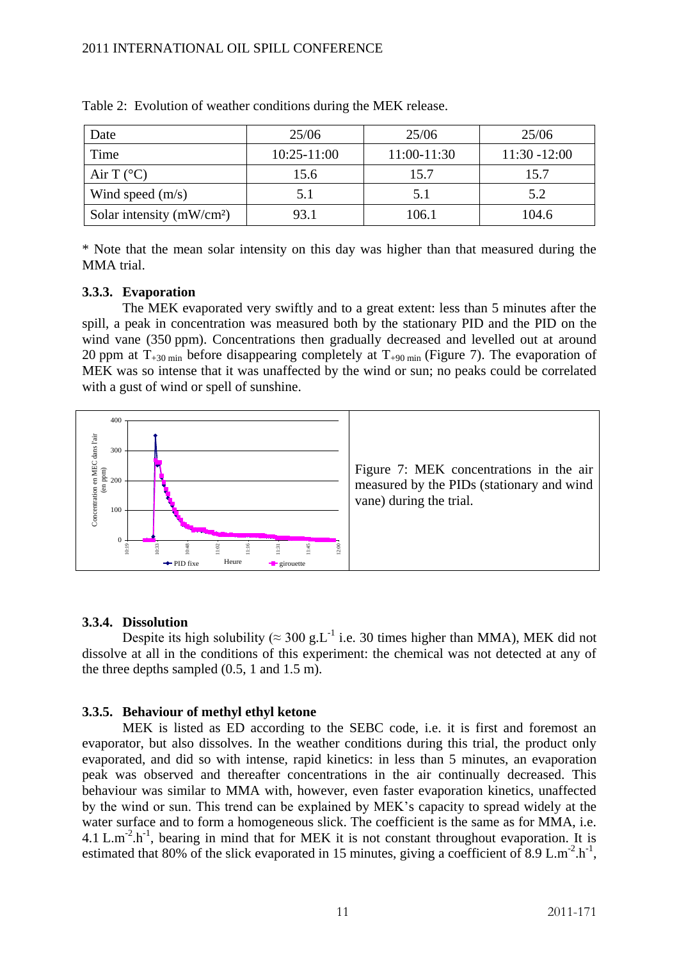| Date                       | 25/06         | 25/06       | 25/06           |
|----------------------------|---------------|-------------|-----------------|
| Time                       | $10:25-11:00$ | 11:00-11:30 | $11:30 - 12:00$ |
| Air $T (^{\circ}C)$        | 15.6          | 15.7        | 15.7            |
| Wind speed $(m/s)$         | 5.1           | 5.1         | 5.2             |
| Solar intensity $(mW/cm2)$ | 93.1          | 106.1       | 104.6           |

Table 2: Evolution of weather conditions during the MEK release.

\* Note that the mean solar intensity on this day was higher than that measured during the MMA trial.

#### **3.3.3. Evaporation**

The MEK evaporated very swiftly and to a great extent: less than 5 minutes after the spill, a peak in concentration was measured both by the stationary PID and the PID on the wind vane (350 ppm). Concentrations then gradually decreased and levelled out at around 20 ppm at  $T_{+30 \text{ min}}$  before disappearing completely at  $T_{+90 \text{ min}}$  (Figure 7). The evaporation of MEK was so intense that it was unaffected by the wind or sun; no peaks could be correlated with a gust of wind or spell of sunshine.



# **3.3.4. Dissolution**

Despite its high solubility ( $\approx 300$  g.L<sup>-1</sup> i.e. 30 times higher than MMA), MEK did not dissolve at all in the conditions of this experiment: the chemical was not detected at any of the three depths sampled (0.5, 1 and 1.5 m).

#### **3.3.5. Behaviour of methyl ethyl ketone**

MEK is listed as ED according to the SEBC code, i.e. it is first and foremost an evaporator, but also dissolves. In the weather conditions during this trial, the product only evaporated, and did so with intense, rapid kinetics: in less than 5 minutes, an evaporation peak was observed and thereafter concentrations in the air continually decreased. This behaviour was similar to MMA with, however, even faster evaporation kinetics, unaffected by the wind or sun. This trend can be explained by MEK's capacity to spread widely at the water surface and to form a homogeneous slick. The coefficient is the same as for MMA, i.e. 4.1 L.m<sup>-2</sup>.h<sup>-1</sup>, bearing in mind that for MEK it is not constant throughout evaporation. It is estimated that 80% of the slick evaporated in 15 minutes, giving a coefficient of 8.9 L.m<sup>-2</sup>.h<sup>-1</sup>,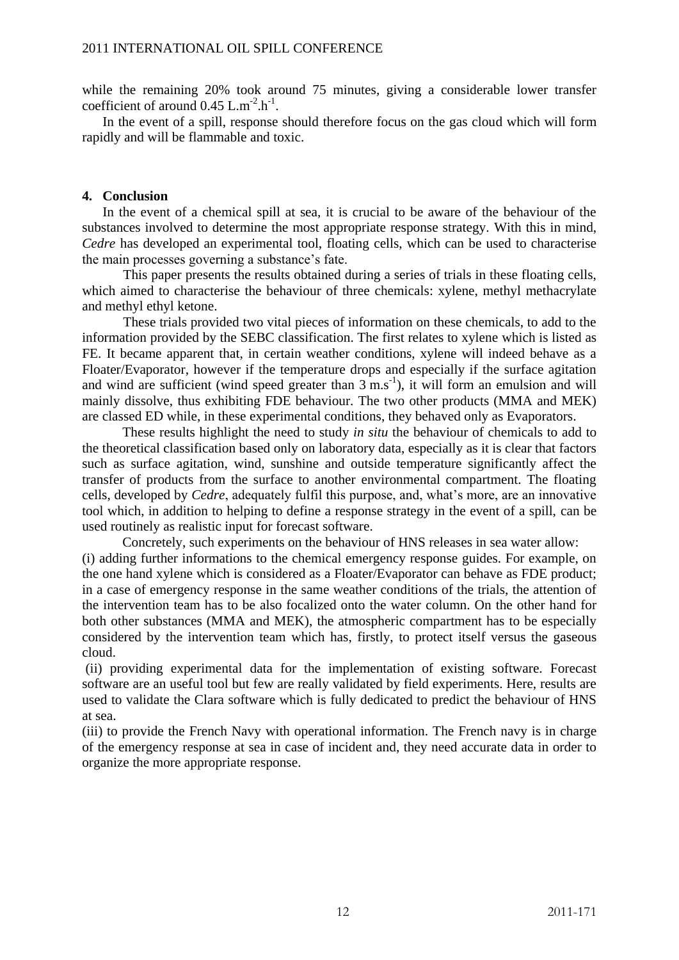while the remaining 20% took around 75 minutes, giving a considerable lower transfer coefficient of around  $0.45$  L.m<sup>-2</sup>.h<sup>-1</sup>.

In the event of a spill, response should therefore focus on the gas cloud which will form rapidly and will be flammable and toxic.

# **4. Conclusion**

In the event of a chemical spill at sea, it is crucial to be aware of the behaviour of the substances involved to determine the most appropriate response strategy. With this in mind, *Cedre* has developed an experimental tool, floating cells, which can be used to characterise the main processes governing a substance's fate.

This paper presents the results obtained during a series of trials in these floating cells, which aimed to characterise the behaviour of three chemicals: xylene, methyl methacrylate and methyl ethyl ketone.

These trials provided two vital pieces of information on these chemicals, to add to the information provided by the SEBC classification. The first relates to xylene which is listed as FE. It became apparent that, in certain weather conditions, xylene will indeed behave as a Floater/Evaporator, however if the temperature drops and especially if the surface agitation and wind are sufficient (wind speed greater than  $3 \text{ m.s}^{-1}$ ), it will form an emulsion and will mainly dissolve, thus exhibiting FDE behaviour. The two other products (MMA and MEK) are classed ED while, in these experimental conditions, they behaved only as Evaporators.

These results highlight the need to study *in situ* the behaviour of chemicals to add to the theoretical classification based only on laboratory data, especially as it is clear that factors such as surface agitation, wind, sunshine and outside temperature significantly affect the transfer of products from the surface to another environmental compartment. The floating cells, developed by *Cedre*, adequately fulfil this purpose, and, what's more, are an innovative tool which, in addition to helping to define a response strategy in the event of a spill, can be used routinely as realistic input for forecast software.

Concretely, such experiments on the behaviour of HNS releases in sea water allow: (i) adding further informations to the chemical emergency response guides. For example, on the one hand xylene which is considered as a Floater/Evaporator can behave as FDE product; in a case of emergency response in the same weather conditions of the trials, the attention of the intervention team has to be also focalized onto the water column. On the other hand for both other substances (MMA and MEK), the atmospheric compartment has to be especially considered by the intervention team which has, firstly, to protect itself versus the gaseous cloud.

(ii) providing experimental data for the implementation of existing software. Forecast software are an useful tool but few are really validated by field experiments. Here, results are used to validate the Clara software which is fully dedicated to predict the behaviour of HNS at sea.

(iii) to provide the French Navy with operational information. The French navy is in charge of the emergency response at sea in case of incident and, they need accurate data in order to organize the more appropriate response.